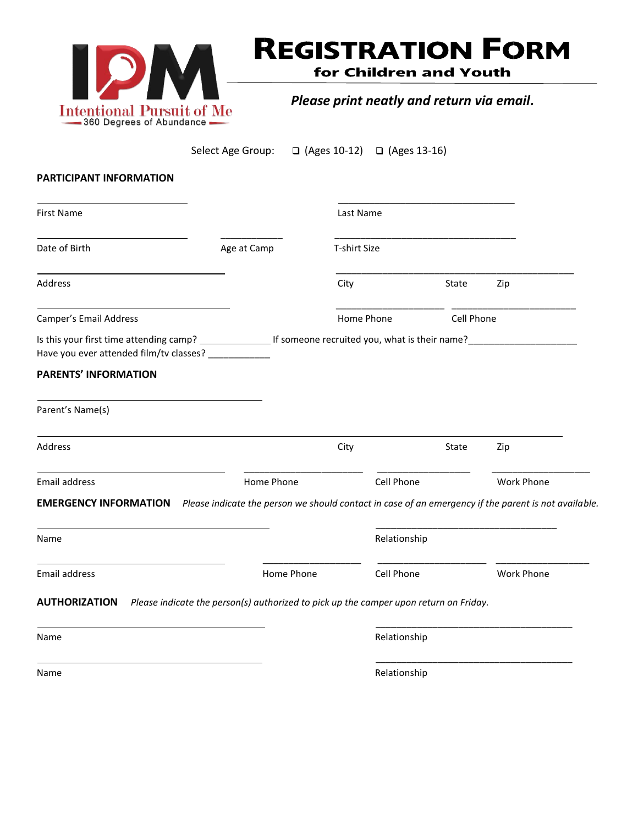

## **REGISTRATION FORM**

for Children and Youth

*Please print neatly and return via email.*

Select Age Group:  $\Box$  (Ages 10-12)  $\Box$  (Ages 13-16)

## **PARTICIPANT INFORMATION**

| <b>First Name</b>                                                                                                                 |             | Last Name    |              |            |                   |
|-----------------------------------------------------------------------------------------------------------------------------------|-------------|--------------|--------------|------------|-------------------|
| Date of Birth                                                                                                                     | Age at Camp | T-shirt Size |              |            |                   |
| <b>Address</b>                                                                                                                    |             | City         |              | State      | Zip               |
| Camper's Email Address                                                                                                            |             |              | Home Phone   | Cell Phone |                   |
| Have you ever attended film/tv classes? ____________                                                                              |             |              |              |            |                   |
| <b>PARENTS' INFORMATION</b>                                                                                                       |             |              |              |            |                   |
| Parent's Name(s)                                                                                                                  |             |              |              |            |                   |
| <b>Address</b>                                                                                                                    |             | City         |              | State      | Zip               |
| <b>Email address</b>                                                                                                              | Home Phone  |              | Cell Phone   |            | <b>Work Phone</b> |
| <b>EMERGENCY INFORMATION</b> Please indicate the person we should contact in case of an emergency if the parent is not available. |             |              |              |            |                   |
| Name                                                                                                                              |             |              | Relationship |            |                   |
| <b>Email address</b>                                                                                                              | Home Phone  |              | Cell Phone   |            | <b>Work Phone</b> |
| AUTHORIZATION Please indicate the person(s) authorized to pick up the camper upon return on Friday.                               |             |              |              |            |                   |
| Name                                                                                                                              |             |              | Relationship |            |                   |
|                                                                                                                                   |             |              |              |            |                   |

Name Relationship